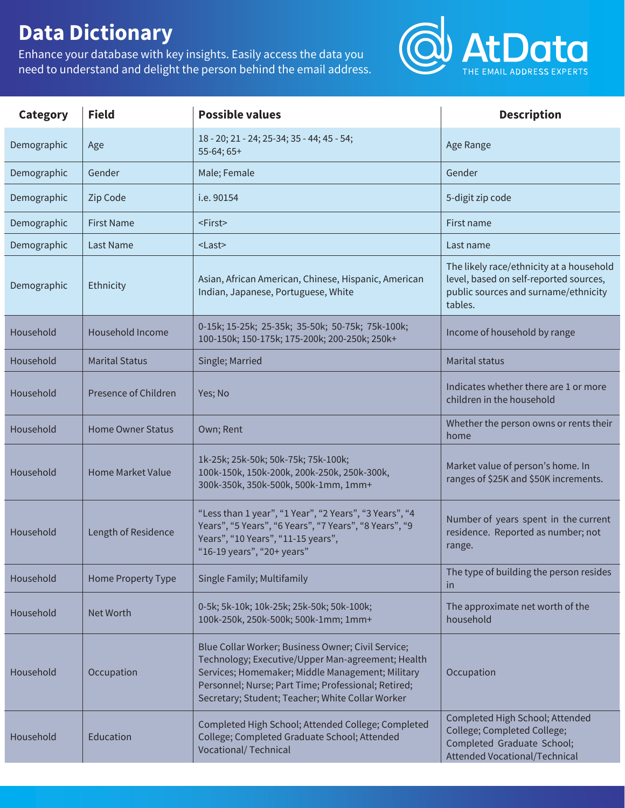## **Data Dictionary**

Enhance your database with key insights. Easily access the data you need to understand and delight the person behind the email address.



| Category    | <b>Field</b>             | <b>Possible values</b>                                                                                                                                                                                                                                                 | <b>Description</b>                                                                                                                    |
|-------------|--------------------------|------------------------------------------------------------------------------------------------------------------------------------------------------------------------------------------------------------------------------------------------------------------------|---------------------------------------------------------------------------------------------------------------------------------------|
| Demographic | Age                      | 18 - 20; 21 - 24; 25-34; 35 - 44; 45 - 54;<br>$55-64; 65+$                                                                                                                                                                                                             | Age Range                                                                                                                             |
| Demographic | Gender                   | Male; Female                                                                                                                                                                                                                                                           | Gender                                                                                                                                |
| Demographic | Zip Code                 | i.e. 90154                                                                                                                                                                                                                                                             | 5-digit zip code                                                                                                                      |
| Demographic | <b>First Name</b>        | <first></first>                                                                                                                                                                                                                                                        | First name                                                                                                                            |
| Demographic | <b>Last Name</b>         | $<$ Last $>$                                                                                                                                                                                                                                                           | Last name                                                                                                                             |
| Demographic | Ethnicity                | Asian, African American, Chinese, Hispanic, American<br>Indian, Japanese, Portuguese, White                                                                                                                                                                            | The likely race/ethnicity at a household<br>level, based on self-reported sources,<br>public sources and surname/ethnicity<br>tables. |
| Household   | Household Income         | 0-15k; 15-25k; 25-35k; 35-50k; 50-75k; 75k-100k;<br>100-150k; 150-175k; 175-200k; 200-250k; 250k+                                                                                                                                                                      | Income of household by range                                                                                                          |
| Household   | <b>Marital Status</b>    | Single; Married                                                                                                                                                                                                                                                        | <b>Marital status</b>                                                                                                                 |
| Household   | Presence of Children     | Yes; No                                                                                                                                                                                                                                                                | Indicates whether there are 1 or more<br>children in the household                                                                    |
| Household   | <b>Home Owner Status</b> | Own; Rent                                                                                                                                                                                                                                                              | Whether the person owns or rents their<br>home                                                                                        |
| Household   | <b>Home Market Value</b> | 1k-25k; 25k-50k; 50k-75k; 75k-100k;<br>100k-150k, 150k-200k, 200k-250k, 250k-300k,<br>300k-350k, 350k-500k, 500k-1mm, 1mm+                                                                                                                                             | Market value of person's home. In<br>ranges of \$25K and \$50K increments.                                                            |
| Household   | Length of Residence      | "Less than 1 year", "1 Year", "2 Years", "3 Years", "4<br>Years", "5 Years", "6 Years", "7 Years", "8 Years", "9<br>Years", "10 Years", "11-15 years",<br>"16-19 years", "20+ years"                                                                                   | Number of years spent in the current<br>residence. Reported as number; not<br>range.                                                  |
| Household   | Home Property Type       | Single Family; Multifamily                                                                                                                                                                                                                                             | The type of building the person resides<br>in                                                                                         |
| Household   | Net Worth                | 0-5k; 5k-10k; 10k-25k; 25k-50k; 50k-100k;<br>100k-250k, 250k-500k; 500k-1mm; 1mm+                                                                                                                                                                                      | The approximate net worth of the<br>household                                                                                         |
| Household   | Occupation               | Blue Collar Worker; Business Owner; Civil Service;<br>Technology; Executive/Upper Man-agreement; Health<br>Services; Homemaker; Middle Management; Military<br>Personnel; Nurse; Part Time; Professional; Retired;<br>Secretary; Student; Teacher; White Collar Worker | Occupation                                                                                                                            |
| Household   | Education                | Completed High School; Attended College; Completed<br>College; Completed Graduate School; Attended<br><b>Vocational/ Technical</b>                                                                                                                                     | Completed High School; Attended<br>College; Completed College;<br>Completed Graduate School;<br>Attended Vocational/Technical         |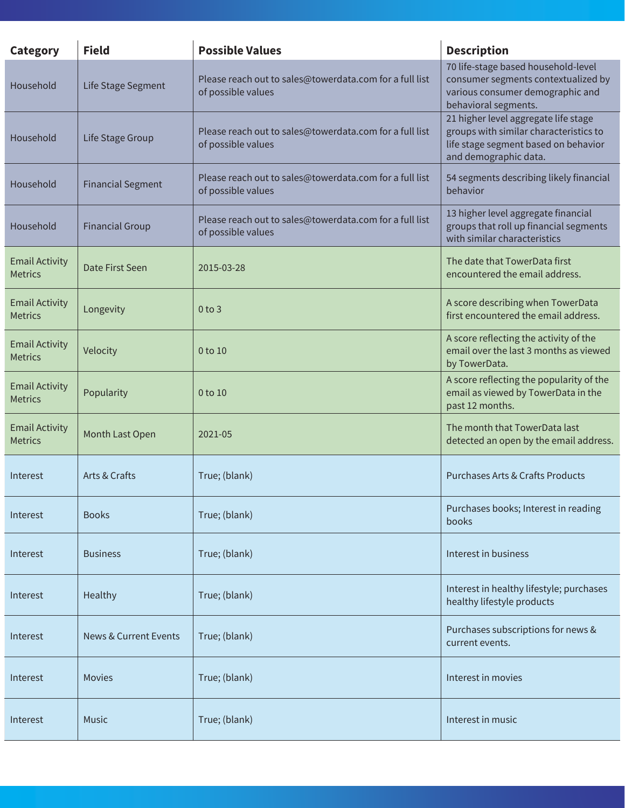| <b>Category</b>                         | <b>Field</b>                     | <b>Possible Values</b>                                                        | <b>Description</b>                                                                                                                              |
|-----------------------------------------|----------------------------------|-------------------------------------------------------------------------------|-------------------------------------------------------------------------------------------------------------------------------------------------|
| Household                               | Life Stage Segment               | Please reach out to sales@towerdata.com for a full list<br>of possible values | 70 life-stage based household-level<br>consumer segments contextualized by<br>various consumer demographic and<br>behavioral segments.          |
| Household                               | Life Stage Group                 | Please reach out to sales@towerdata.com for a full list<br>of possible values | 21 higher level aggregate life stage<br>groups with similar characteristics to<br>life stage segment based on behavior<br>and demographic data. |
| Household                               | <b>Financial Segment</b>         | Please reach out to sales@towerdata.com for a full list<br>of possible values | 54 segments describing likely financial<br>behavior                                                                                             |
| Household                               | <b>Financial Group</b>           | Please reach out to sales@towerdata.com for a full list<br>of possible values | 13 higher level aggregate financial<br>groups that roll up financial segments<br>with similar characteristics                                   |
| <b>Email Activity</b><br><b>Metrics</b> | Date First Seen                  | 2015-03-28                                                                    | The date that TowerData first<br>encountered the email address.                                                                                 |
| <b>Email Activity</b><br><b>Metrics</b> | Longevity                        | $0$ to $3$                                                                    | A score describing when TowerData<br>first encountered the email address.                                                                       |
| <b>Email Activity</b><br><b>Metrics</b> | Velocity                         | 0 to 10                                                                       | A score reflecting the activity of the<br>email over the last 3 months as viewed<br>by TowerData.                                               |
| <b>Email Activity</b><br><b>Metrics</b> | Popularity                       | 0 to 10                                                                       | A score reflecting the popularity of the<br>email as viewed by TowerData in the<br>past 12 months.                                              |
| <b>Email Activity</b><br><b>Metrics</b> | Month Last Open                  | 2021-05                                                                       | The month that TowerData last<br>detected an open by the email address.                                                                         |
| Interest                                | Arts & Crafts                    | True; (blank)                                                                 | <b>Purchases Arts &amp; Crafts Products</b>                                                                                                     |
| Interest                                | <b>Books</b>                     | True; (blank)                                                                 | Purchases books; Interest in reading<br>books                                                                                                   |
| Interest                                | <b>Business</b>                  | True; (blank)                                                                 | Interest in business                                                                                                                            |
| Interest                                | Healthy                          | True; (blank)                                                                 | Interest in healthy lifestyle; purchases<br>healthy lifestyle products                                                                          |
| Interest                                | <b>News &amp; Current Events</b> | True; (blank)                                                                 | Purchases subscriptions for news &<br>current events.                                                                                           |
| Interest                                | <b>Movies</b>                    | True; (blank)                                                                 | Interest in movies                                                                                                                              |
| Interest                                | Music                            | True; (blank)                                                                 | Interest in music                                                                                                                               |